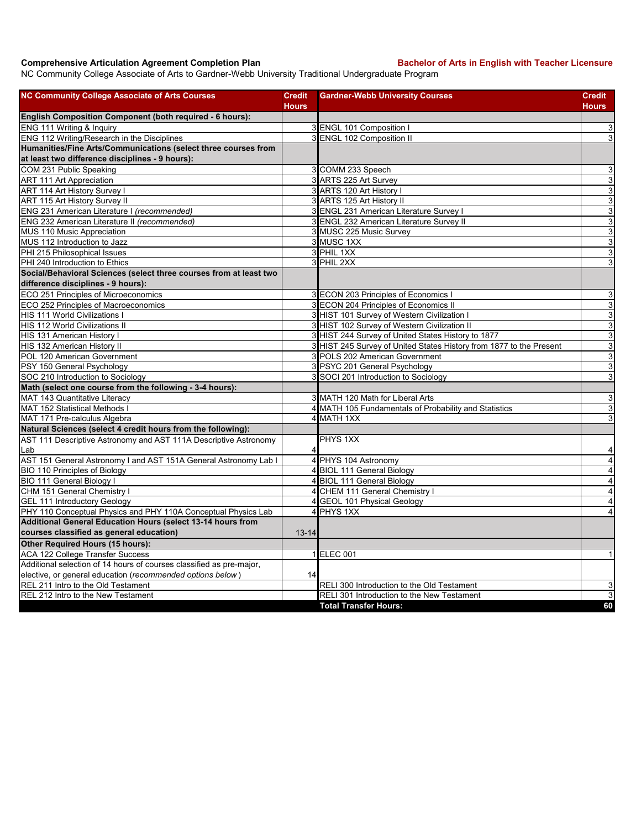## **Comprehensive Articulation Agreement Completion Plan Backelor of Arts in English with Teacher Licensure**

NC Community College Associate of Arts to Gardner-Webb University Traditional Undergraduate Program

| <b>NC Community College Associate of Arts Courses</b>                | <b>Credit</b>  | <b>Gardner-Webb University Courses</b>                              | Credit                    |
|----------------------------------------------------------------------|----------------|---------------------------------------------------------------------|---------------------------|
|                                                                      | <b>Hours</b>   |                                                                     | Hours                     |
| <b>English Composition Component (both required - 6 hours):</b>      |                |                                                                     |                           |
| ENG 111 Writing & Inquiry                                            |                | 3 ENGL 101 Composition I                                            | 3                         |
| ENG 112 Writing/Research in the Disciplines                          |                | 3 ENGL 102 Composition II                                           | 3                         |
| Humanities/Fine Arts/Communications (select three courses from       |                |                                                                     |                           |
| at least two difference disciplines - 9 hours):                      |                |                                                                     |                           |
| COM 231 Public Speaking                                              |                | 3 COMM 233 Speech                                                   | 3                         |
| <b>ART 111 Art Appreciation</b>                                      |                | 3 ARTS 225 Art Survey                                               | $\overline{3}$            |
| <b>ART 114 Art History Survey I</b>                                  |                | 3 ARTS 120 Art History I                                            | $\ensuremath{\mathsf{3}}$ |
| ART 115 Art History Survey II                                        |                | 3 ARTS 125 Art History II                                           | $\overline{3}$            |
| ENG 231 American Literature I (recommended)                          |                | 3 ENGL 231 American Literature Survey I                             | $\overline{3}$            |
| ENG 232 American Literature II (recommended)                         |                | 3 ENGL 232 American Literature Survey II                            | 3                         |
| MUS 110 Music Appreciation                                           |                | 3 MUSC 225 Music Survey                                             | $\mathbf{3}$              |
| MUS 112 Introduction to Jazz                                         |                | 3 MUSC 1XX                                                          | ω                         |
| PHI 215 Philosophical Issues                                         |                | 3 PHIL 1XX                                                          | $\ensuremath{\mathsf{3}}$ |
| PHI 240 Introduction to Ethics                                       |                | 3 PHIL 2XX                                                          | 3                         |
| Social/Behavioral Sciences (select three courses from at least two   |                |                                                                     |                           |
| difference disciplines - 9 hours):                                   |                |                                                                     |                           |
| ECO 251 Principles of Microeconomics                                 |                | 3 ECON 203 Principles of Economics I                                | 3                         |
| ECO 252 Principles of Macroeconomics                                 |                | 3 ECON 204 Principles of Economics II                               | $\ensuremath{\mathsf{3}}$ |
| <b>HIS 111 World Civilizations I</b>                                 |                | 3 HIST 101 Survey of Western Civilization I                         | $\mathbf{3}$              |
| HIS 112 World Civilizations II                                       |                | 3 HIST 102 Survey of Western Civilization II                        | $\ensuremath{\mathsf{3}}$ |
| HIS 131 American History I                                           |                | 3 HIST 244 Survey of United States History to 1877                  | 3                         |
| HIS 132 American History II                                          |                | 3 HIST 245 Survey of United States History from 1877 to the Present | 3                         |
| POL 120 American Government                                          |                | 3 POLS 202 American Government                                      | $\mathbf{3}$              |
| PSY 150 General Psychology                                           |                | 3 PSYC 201 General Psychology                                       | ω                         |
| SOC 210 Introduction to Sociology                                    |                | 3 SOCI 201 Introduction to Sociology                                | 3                         |
| Math (select one course from the following - 3-4 hours):             |                |                                                                     |                           |
| MAT 143 Quantitative Literacy                                        |                | 3 MATH 120 Math for Liberal Arts                                    | $\mathsf 3$               |
| <b>MAT 152 Statistical Methods I</b>                                 |                | 4 MATH 105 Fundamentals of Probability and Statistics               | 3                         |
| MAT 171 Pre-calculus Algebra                                         |                | 4 MATH 1XX                                                          | 3                         |
| Natural Sciences (select 4 credit hours from the following):         |                |                                                                     |                           |
| AST 111 Descriptive Astronomy and AST 111A Descriptive Astronomy     |                | PHYS 1XX                                                            |                           |
| Lab                                                                  | 4              |                                                                     | 4                         |
| AST 151 General Astronomy I and AST 151A General Astronomy Lab I     | $\overline{4}$ | PHYS 104 Astronomy                                                  | $\overline{\mathbf{4}}$   |
| <b>BIO 110 Principles of Biology</b>                                 |                | 4 BIOL 111 General Biology                                          | $\overline{\mathbf{4}}$   |
| BIO 111 General Biology I                                            |                | 4 BIOL 111 General Biology                                          | $\overline{\mathbf{4}}$   |
| CHM 151 General Chemistry I                                          | 4              | CHEM 111 General Chemistry I                                        | $\overline{\mathbf{4}}$   |
| <b>GEL 111 Introductory Geology</b>                                  |                | 4 GEOL 101 Physical Geology                                         | 4                         |
| PHY 110 Conceptual Physics and PHY 110A Conceptual Physics Lab       |                | 4 PHYS 1XX                                                          | $\overline{4}$            |
| Additional General Education Hours (select 13-14 hours from          |                |                                                                     |                           |
| courses classified as general education)                             | $13 - 14$      |                                                                     |                           |
| Other Required Hours (15 hours):                                     |                |                                                                     |                           |
| <b>ACA 122 College Transfer Success</b>                              |                | 1 ELEC 001                                                          | 1                         |
| Additional selection of 14 hours of courses classified as pre-major, |                |                                                                     |                           |
| elective, or general education (recommended options below)           | 14             |                                                                     |                           |
| REL 211 Intro to the Old Testament                                   |                | RELI 300 Introduction to the Old Testament                          | 3                         |
| REL 212 Intro to the New Testament                                   |                | RELI 301 Introduction to the New Testament                          | 3                         |
|                                                                      |                | <b>Total Transfer Hours:</b>                                        | 60                        |